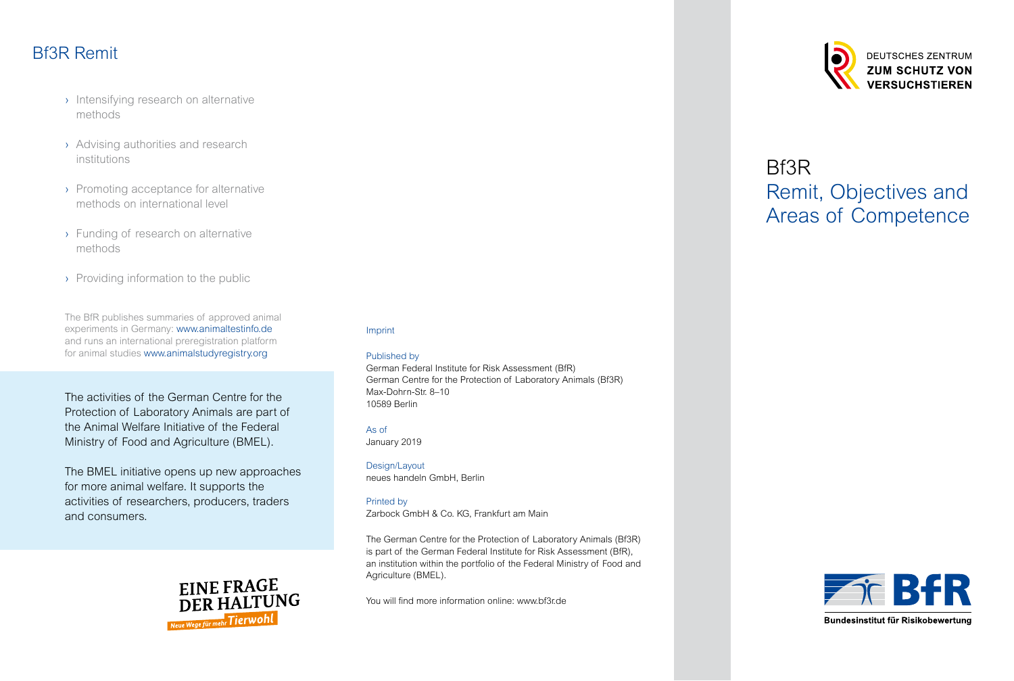# Bf3R Remit

- › Intensifying research on alternative methods
- › Advising authorities and research institutions
- › Promoting acceptance for alternative methods on international level
- › Funding of research on alternative methods
- › Providing information to the public

The BfR publishes summaries of approved animal experiments in Germany: [www.animaltestinfo.de](http://www.animaltestinfo.de) and runs an international preregistration platform for animal studie[s www.animalstudyregistry.org](https://www.animalstudyregistry.org/asr_web/index.action;jsessionid=5F79D2C64F6136F88E042CCC4DA937B0)

The activities of the German Centre for the Protection of Laboratory Animals are part of the Animal Welfare Initiative of the Federal Ministry of Food and Agriculture (BMEL).

The BMEL initiative opens up new approaches for more animal welfare. It supports the activities of researchers, producers, traders and consumers.



#### Imprint

#### Published by

German Federal Institute for Risk Assessment (BfR) German Centre for the Protection of Laboratory Animals (Bf3R) Max-Dohrn-Str. 8–10 10589 Berlin

#### As of

January 2019

Design/Layout neues handeln GmbH, Berlin

#### Printed by

Zarbock GmbH & Co. KG, Frankfurt am Main

The German Centre for the Protection of Laboratory Animals (Bf3R) is part of the German Federal Institute for Risk Assessment (BfR), an institution within the portfolio of the Federal Ministry of Food and Agriculture (BMEL).

You will find more information online: [www.bf3r.de](http://www.bf3r.de)



# Bf3R Remit, Objectives and Areas of Competence